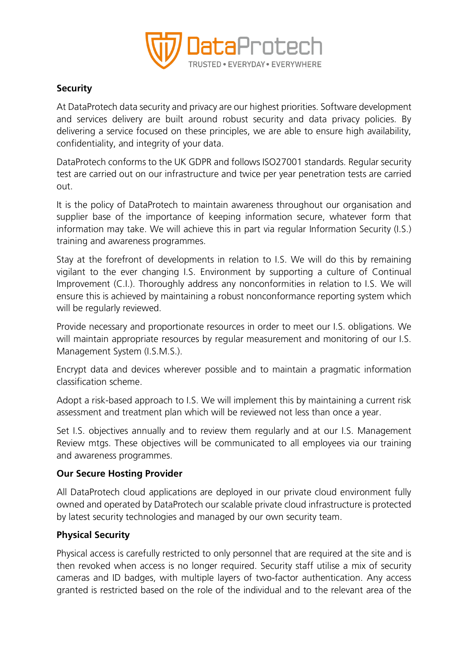

# **Security**

At DataProtech data security and privacy are our highest priorities. Software development and services delivery are built around robust security and data privacy policies. By delivering a service focused on these principles, we are able to ensure high availability, confidentiality, and integrity of your data.

DataProtech conforms to the UK GDPR and follows ISO27001 standards. Regular security test are carried out on our infrastructure and twice per year penetration tests are carried out.

It is the policy of DataProtech to maintain awareness throughout our organisation and supplier base of the importance of keeping information secure, whatever form that information may take. We will achieve this in part via regular Information Security (I.S.) training and awareness programmes.

Stay at the forefront of developments in relation to I.S. We will do this by remaining vigilant to the ever changing I.S. Environment by supporting a culture of Continual Improvement (C.I.). Thoroughly address any nonconformities in relation to I.S. We will ensure this is achieved by maintaining a robust nonconformance reporting system which will be regularly reviewed.

Provide necessary and proportionate resources in order to meet our I.S. obligations. We will maintain appropriate resources by regular measurement and monitoring of our I.S. Management System (I.S.M.S.).

Encrypt data and devices wherever possible and to maintain a pragmatic information classification scheme.

Adopt a risk-based approach to I.S. We will implement this by maintaining a current risk assessment and treatment plan which will be reviewed not less than once a year.

Set I.S. objectives annually and to review them regularly and at our I.S. Management Review mtgs. These objectives will be communicated to all employees via our training and awareness programmes.

# **Our Secure Hosting Provider**

All DataProtech cloud applications are deployed in our private cloud environment fully owned and operated by DataProtech our scalable private cloud infrastructure is protected by latest security technologies and managed by our own security team.

# **Physical Security**

Physical access is carefully restricted to only personnel that are required at the site and is then revoked when access is no longer required. Security staff utilise a mix of security cameras and ID badges, with multiple layers of two-factor authentication. Any access granted is restricted based on the role of the individual and to the relevant area of the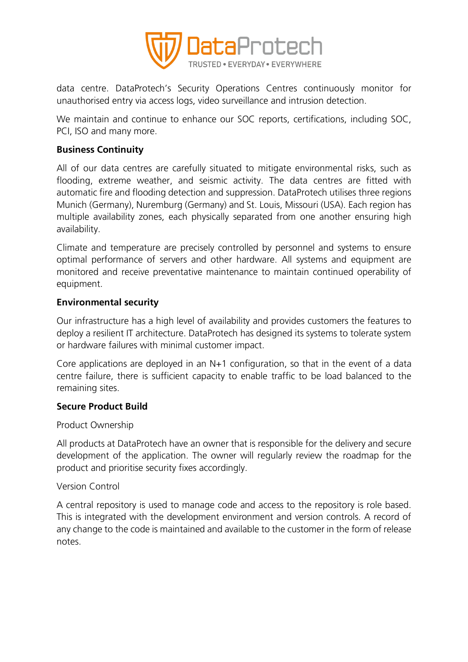

data centre. DataProtech's Security Operations Centres continuously monitor for unauthorised entry via access logs, video surveillance and intrusion detection.

We maintain and continue to enhance our SOC reports, certifications, including SOC, PCI, ISO and many more.

## **Business Continuity**

All of our data centres are carefully situated to mitigate environmental risks, such as flooding, extreme weather, and seismic activity. The data centres are fitted with automatic fire and flooding detection and suppression. DataProtech utilises three regions Munich (Germany), Nuremburg (Germany) and St. Louis, Missouri (USA). Each region has multiple availability zones, each physically separated from one another ensuring high availability.

Climate and temperature are precisely controlled by personnel and systems to ensure optimal performance of servers and other hardware. All systems and equipment are monitored and receive preventative maintenance to maintain continued operability of equipment.

### **Environmental security**

Our infrastructure has a high level of availability and provides customers the features to deploy a resilient IT architecture. DataProtech has designed its systems to tolerate system or hardware failures with minimal customer impact.

Core applications are deployed in an  $N+1$  configuration, so that in the event of a data centre failure, there is sufficient capacity to enable traffic to be load balanced to the remaining sites.

# **Secure Product Build**

#### Product Ownership

All products at DataProtech have an owner that is responsible for the delivery and secure development of the application. The owner will regularly review the roadmap for the product and prioritise security fixes accordingly.

#### Version Control

A central repository is used to manage code and access to the repository is role based. This is integrated with the development environment and version controls. A record of any change to the code is maintained and available to the customer in the form of release notes.